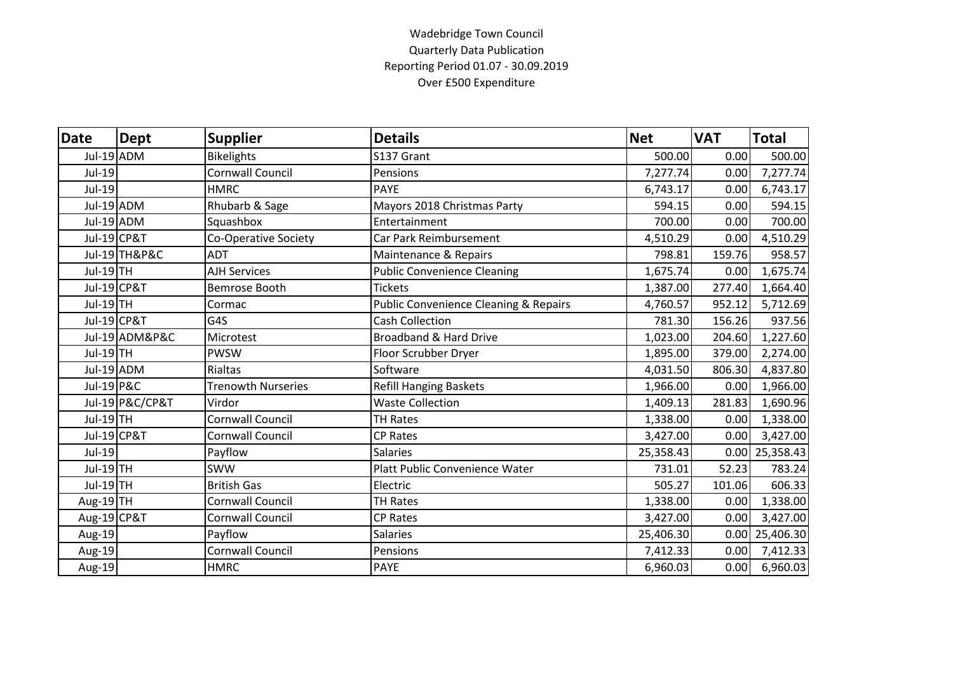## Wadebridge Town Council Quarterly Data Publication Reporting Period 01.07 - 30.09.2019 Over £500 Expenditure

| Date        | <b>Dept</b>            | <b>Supplier</b>           | <b>Details</b>                                   | <b>Net</b> | <b>VAT</b> | <b>Total</b>     |
|-------------|------------------------|---------------------------|--------------------------------------------------|------------|------------|------------------|
| Jul-19 ADM  |                        | <b>Bikelights</b>         | S137 Grant                                       | 500.00     | 0.00       | 500.00           |
| Jul-19      |                        | <b>Cornwall Council</b>   | Pensions                                         | 7,277.74   | 0.00       | 7,277.74         |
| Jul-19      |                        | <b>HMRC</b>               | <b>PAYE</b>                                      | 6,743.17   | 0.00       | 6,743.17         |
|             | Jul-19 ADM             | Rhubarb & Sage            | Mayors 2018 Christmas Party                      | 594.15     | 0.00       | 594.15           |
|             | Jul-19 ADM             | Squashbox                 | Entertainment                                    | 700.00     | 0.00       | 700.00           |
|             | Jul-19 CP&T            | Co-Operative Society      | Car Park Reimbursement                           | 4,510.29   | 0.00       | 4,510.29         |
|             | Jul-19 TH&P&C          | <b>ADT</b>                | Maintenance & Repairs                            | 798.81     | 159.76     | 958.57           |
| Jul-19 TH   |                        | <b>AJH Services</b>       | <b>Public Convenience Cleaning</b>               | 1,675.74   | 0.00       | 1,675.74         |
|             | Jul-19 CP&T            | Bemrose Booth             | <b>Tickets</b>                                   | 1,387.00   | 277.40     | 1,664.40         |
| Jul-19TH    |                        | Cormac                    | <b>Public Convenience Cleaning &amp; Repairs</b> | 4,760.57   | 952.12     | 5,712.69         |
|             | <b>Jul-19 CP&amp;T</b> | G4S                       | <b>Cash Collection</b>                           | 781.30     | 156.26     | 937.56           |
|             | Jul-19 ADM&P&C         | Microtest                 | <b>Broadband &amp; Hard Drive</b>                | 1,023.00   | 204.60     | 1,227.60         |
| Jul-19 TH   |                        | <b>PWSW</b>               | Floor Scrubber Dryer                             | 1,895.00   | 379.00     | 2,274.00         |
|             | Jul-19 ADM             | Rialtas                   | Software                                         | 4,031.50   | 806.30     | 4,837.80         |
| Jul-19 P&C  |                        | <b>Trenowth Nurseries</b> | <b>Refill Hanging Baskets</b>                    | 1,966.00   | 0.00       | 1,966.00         |
|             | Jul-19 P&C/CP&T        | Virdor                    | <b>Waste Collection</b>                          | 1,409.13   | 281.83     | 1,690.96         |
| $Jul-19$ TH |                        | <b>Cornwall Council</b>   | <b>TH Rates</b>                                  | 1,338.00   | 0.00       | 1,338.00         |
|             | Jul-19 CP&T            | <b>Cornwall Council</b>   | <b>CP Rates</b>                                  | 3,427.00   | 0.00       | 3,427.00         |
| Jul-19      |                        | Payflow                   | <b>Salaries</b>                                  | 25,358.43  |            | $0.00$ 25,358.43 |
| Jul-19 TH   |                        | <b>SWW</b>                | Platt Public Convenience Water                   | 731.01     | 52.23      | 783.24           |
| Jul-19 TH   |                        | <b>British Gas</b>        | Electric                                         | 505.27     | 101.06     | 606.33           |
| Aug-19TH    |                        | <b>Cornwall Council</b>   | <b>TH Rates</b>                                  | 1,338.00   | 0.00       | 1,338.00         |
| Aug-19 CP&T |                        | <b>Cornwall Council</b>   | <b>CP Rates</b>                                  | 3,427.00   | 0.00       | 3,427.00         |
| Aug-19      |                        | Payflow                   | <b>Salaries</b>                                  | 25,406.30  |            | 0.00 25,406.30   |
| Aug-19      |                        | <b>Cornwall Council</b>   | Pensions                                         | 7,412.33   | 0.00       | 7,412.33         |
| Aug-19      |                        | <b>HMRC</b>               | <b>PAYE</b>                                      | 6,960.03   | 0.00       | 6,960.03         |